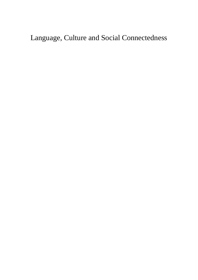Language, Culture and Social Connectedness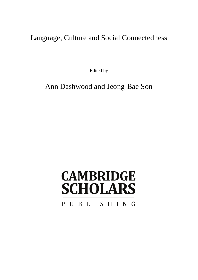Language, Culture and Social Connectedness

Edited by

Ann Dashwood and Jeong-Bae Son

# **CAMBRIDGE SCHOLARS** PUBLISHING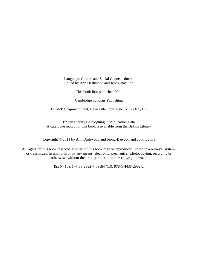Language, Culture and Social Connectedness, Edited by Ann Dashwood and Jeong-Bae Son

This book first published 2011

Cambridge Scholars Publishing

12 Back Chapman Street, Newcastle upon Tyne, NE6 2XX, UK

British Library Cataloguing in Publication Data A catalogue record for this book is available from the British Library

Copyright © 2011 by Ann Dashwood and Jeong-Bae Son and contributors

All rights for this book reserved. No part of this book may be reproduced, stored in a retrieval system, or transmitted, in any form or by any means, electronic, mechanical, photocopying, recording or otherwise, without the prior permission of the copyright owner.

ISBN (10): 1-4438-2992-7, ISBN (13): 978-1-4438-2992-2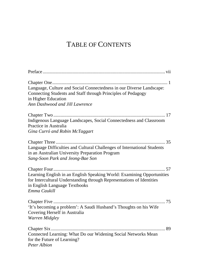# TABLE OF CONTENTS

| Language, Culture and Social Connectedness in our Diverse Landscape:<br>Connecting Students and Staff through Principles of Pedagogy<br>in Higher Education<br>Ann Dashwood and Jill Lawrence    |
|--------------------------------------------------------------------------------------------------------------------------------------------------------------------------------------------------|
| Indigenous Language Landscapes, Social Connectedness and Classroom<br>Practice in Australia<br>Gina Curró and Robin McTaggart                                                                    |
| Language Difficulties and Cultural Challenges of International Students<br>in an Australian University Preparation Program<br>Sang-Soon Park and Jeong-Bae Son                                   |
| Learning English in an English Speaking World: Examining Opportunities<br>for Intercultural Understanding through Representations of Identities<br>in English Language Textbooks<br>Emma Caukill |
| 'It's becoming a problem': A Saudi Husband's Thoughts on his Wife<br>Covering Herself in Australia<br>Warren Midgley                                                                             |
| Connected Learning: What Do our Widening Social Networks Mean<br>for the Future of Learning?<br>Peter Albion                                                                                     |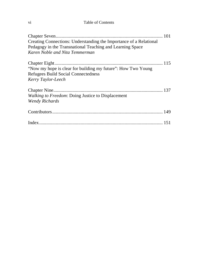#### vi Table of Contents

| Creating Connections: Understanding the Importance of a Relational                                         |
|------------------------------------------------------------------------------------------------------------|
| Pedagogy in the Transnational Teaching and Learning Space                                                  |
| Karen Noble and Nita Temmerman                                                                             |
| "Now my hope is clear for building my future": How Two Young<br><b>Refugees Build Social Connectedness</b> |
| Kerry Taylor-Leech                                                                                         |
| Walking to Freedom: Doing Justice to Displacement<br><b>Wendy Richards</b>                                 |
|                                                                                                            |
|                                                                                                            |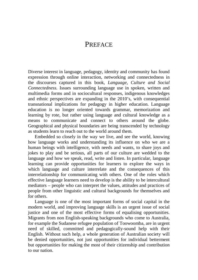# PREFACE

Diverse interest in language, pedagogy, identity and community has found expression through online interaction, networking and connectedness in the discourses captured in this book, *Language, Culture and Social Connectedness.* Issues surrounding language use in spoken, written and multimedia forms and in sociocultural responses, indigenous knowledges and ethnic perspectives are expanding in the 2010's, with consequential transnational implications for pedagogy in higher education. Language education is no longer oriented towards grammar, memorization and learning by rote, but rather using language and cultural knowledge as a means to communicate and connect to others around the globe. Geographical and physical boundaries are being transcended by technology as students learn to reach out to the world around them.

Embedded so closely in the way we live, and see the world, knowing how language works and understanding its influence on who we are a human beings with intelligence, with needs and wants, to share joys and jokes to play and be serious, all parts of our culture are wedded to the language and how we speak, read, write and listen. In particular, language learning can provide opportunities for learners to explore the ways in which language and culture interrelate and the consequences of this interrelationship for communicating with others. One of the roles which effective language learners need to develop is the ability to be intercultural mediators – people who can interpret the values, attitudes and practices of people from other linguistic and cultural backgrounds for themselves and for others.

Language is one of the most important forms of social capital in the modern world, and improving language skills is an urgent issue of social justice and one of the most effective forms of equalising opportunities. Migrants from non English-speaking backgrounds who come to Australia, for example the Sudanese refugee population of Toowoomba, are in urgent need of skilled, committed and pedagogically-sound help with their English. Without such help, a whole generation of Australian society will be denied opportunities, not just opportunities for individual betterment but opportunities for making the most of their citizenship and contribution to our nation.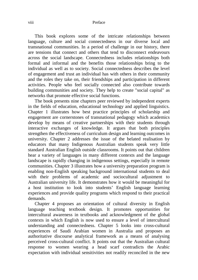#### viii Preface

This book explores some of the intricate relationships between language, culture and social connectedness in our diverse local and transnational communities. In a period of challenge in our history, there are tensions that connect and others that tend to disconnect endeavours across the social landscape. Connectedness includes relationships both formal and informal and the benefits those relationships bring to the individual as well as to society. Social connectedness describes the level of engagement and trust an individual has with others in their community and the roles they take on, their friendships and participation in different activities. People who feel socially connected also contribute towards building communities and society. They help to create "social capital" as networks that promote effective social functions.

The book presents nine chapters peer reviewed by independent experts in the fields of education, educational technology and applied linguistics. Chapter 1 illustrates how best practice principles of scholarship and engagement are cornerstones of transnational pedagogy which academics develop by means of creative partnerships with their students through interactive exchanges of knowledge. It argues that both principles strengthen the effectiveness of curriculum design and learning outcomes in university. Chapter 2 addresses the issue of the belated realisation by educators that many Indigenous Australian students speak very little standard Australian English outside classrooms. It points out that children hear a variety of languages in many different contexts and the language landscape is rapidly changing in indigenous settings, especially in remote communities. Chapter 3 illustrates how a university preparation program is enabling non-English speaking background international students to deal with their problems of academic and sociocultural adjustment to Australian university life. It demonstrates how it would be meaningful for a host institution to look into students' English language learning experiences and provide quality programs which respond to their practical demands.

Chapter 4 proposes an orientation of cultural diversity in English language teaching textbook design. It promotes opportunities for intercultural awareness in textbooks and acknowledgment of the global contexts in which English is now used to ensure a level of intercultural understanding and connectedness. Chapter 5 looks into cross-cultural experiences of Saudi Arabian women in Australia and proposes an authoritative discourse analytical framework as a means of analysing perceived cross-cultural conflict. It points out that the Australian cultural response to women wearing a head scarf contradicts the Arabic expectation with individual sensitivities not readily reconciled in the new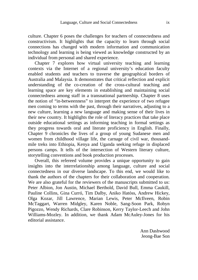culture. Chapter 6 poses the challenges for teachers of connectedness and constructivism. It highlights that the capacity to learn through social connections has changed with modern information and communication technology and learning is being viewed as knowledge constructed by an individual from personal and shared experience.

Chapter 7 explores how virtual university teaching and learning contexts via the Internet of a regional university's education faculty enabled students and teachers to traverse the geographical borders of Australia and Malaysia. It demonstrates that critical reflection and explicit understanding of the co-creation of the cross-cultural teaching and learning space are key elements in establishing and maintaining social connectedness among staff in a transnational partnership. Chapter 8 uses the notion of "in-betweenness" to interpret the experience of two refugee men coming to terms with the past, through their narratives, adjusting to a new culture, learning a new language and making sense of their lives in their new country. It highlights the role of literacy practices that take place outside educational settings as informing teaching in formal settings as they progress towards oral and literate proficiency in English. Finally, Chapter 9 chronicles the lives of a group of young Sudanese men and women from childhood village life, the carnage of civil war, thousandmile treks into Ethiopia, Kenya and Uganda seeking refuge in displaced persons camps. It tells of the intersection of Western literary culture, storytelling conventions and book production processes.

Overall, this refereed volume provides a unique opportunity to gain insights into the interrelationship among language, culture and social connectedness in our diverse landscape. To this end, we would like to thank the authors of the chapters for their collaboration and cooperation. We are also grateful for the reviewers of the manuscripts submitted to us: Peter Albion, Jon Austin, Michael Berthold, David Bull, Emma Caukill, Pauline Collins, Gina Curró, Tim Dalby, Aniko Hatóss, Andrew Hickey, Olga Kozar, Jill Lawrence, Marian Lewis, Peter McIlveen, Robin McTaggart, Warren Midgley, Karen Noble, Sang-Soon Park, Robyn Pigozzo, Wendy Richards, Clare Robinson, Kerry Taylor-Leech and John Williams-Mozley. In addition, we thank Adam McAuley-Jones for his editorial assistance.

> Ann Dashwood Jeong-Bae Son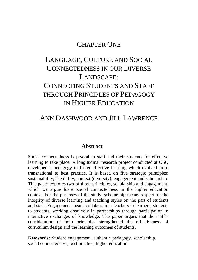### CHAPTER ONE

# LANGUAGE, CULTURE AND SOCIAL CONNECTEDNESS IN OUR DIVERSE LANDSCAPE: CONNECTING STUDENTS AND STAFF THROUGH PRINCIPLES OF PEDAGOGY IN HIGHER EDUCATION

# ANN DASHWOOD AND JILL LAWRENCE

#### **Abstract**

Social connectedness is pivotal to staff and their students for effective learning to take place. A longitudinal research project conducted at USQ developed a pedagogy to foster effective learning which evolved from transnational to best practice. It is based on five strategic principles: sustainability, flexibility, context (diversity), engagement and scholarship. This paper explores two of those principles, scholarship and engagement, which we argue foster social connectedness in the higher education context. For the purposes of the study, scholarship means respect for the integrity of diverse learning and teaching styles on the part of students and staff. Engagement means collaboration: teachers to learners, students to students, working creatively in partnerships through participation in interactive exchanges of knowledge. The paper argues that the staff's consideration of both principles strengthened the effectiveness of curriculum design and the learning outcomes of students.

**Keywords:** Student engagement, authentic pedagogy, scholarship, social connectedness, best practice, higher education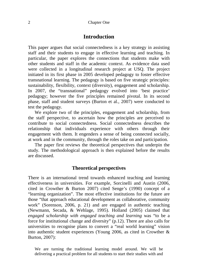#### **Introduction**

This paper argues that social connectedness is a key strategy in assisting staff and their students to engage in effective learning and teaching. In particular, the paper explores the connections that students make with other students and staff in the academic context. As evidence data used were collected in a longitudinal research project at USQ. The project initiated in its first phase in 2005 developed pedagogy to foster effective transnational learning. The pedagogy is based on five strategic principles: sustainability, flexibility, context (diversity), engagement and scholarship. In 2007, the "transnational" pedagogy evolved into 'best practice' pedagogy; however the five principles remained pivotal. In its second phase, staff and student surveys (Burton et al., 2007) were conducted to test the pedagogy.

We explore two of the principles, engagement and scholarship, from the staff perspective, to ascertain how the principles are perceived to contribute to social connectedness. Social connectedness describes the relationship that individuals experience with others through their engagement with them. It engenders a sense of being connected socially, at work and in the community, through the roles take on and participation.

The paper first reviews the theoretical perspectives that underpin the study. The methodological approach is then explained before the results are discussed.

#### **Theoretical perspectives**

There is an international trend towards enhanced teaching and learning effectiveness in universities. For example, Sorcinelli and Austin (2006, cited in Crowther & Burton 2007) cited Senge's (1990) concept of a "learning organization". The most effective institutions for the future are those "that approach educational development as collaborative, community work" (Sorenson, 2006, p. 21) and are engaged in authentic teaching (Newmann, Secada, & Wehlage, 1995). Holland (2005) claimed that *engaged scholarship with engaged teaching and learning* was "to be a force for institutional change and diversity" (p.12). There are also calls for universities to recognise plans to convert a "real world learning" vision into authentic student experiences (Young 2006, as cited in Crowther & Burton, 2007):

We are turning the traditional learning model around. We will be delivering a practical problem for all students to start their studies with and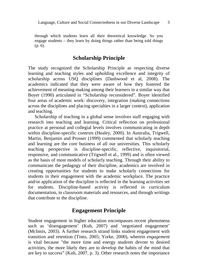through which students learn all their theoretical knowledge. So you engage students – they learn by doing things rather than being told things (p. 6).

#### **Scholarship Principle**

The study recognized the Scholarship Principle as respecting diverse learning and teaching styles and upholding excellence and integrity of scholarship across USQ disciplines (Dashwood et al, 2008). The academics indicated that they were aware of how they fostered the achievement of meaning-making among their learners in a similar way that Boyer (1990) articulated in "Scholarship reconsidered"*.* Boyer identified four areas of academic work: discovery, integration (making connections across the disciplines and placing specialties in a larger context), application and teaching.

Scholarship of teaching in a global sense involves staff engaging with research into teaching and learning. Critical reflection on professional practice at personal and collegial levels involves communicating in depth within discipline-specific contexts (Healey, 2000). In Australia, Trigwell, Martin, Benjamin and Prosser (1999) commented that scholarly teaching and learning are the core business of all our universities. This scholarly teaching perspective is discipline-specific, reflective, inquisitorial, responsive, and communicative (Trigwell et al., 1999) and is often viewed as the basis of most models of scholarly teaching. Through their ability to communicate the pedagogy of their discipline, academics are involved in creating opportunities for students to make scholarly connections for students in their engagement with the academic workplace. The practice and/or application of the discipline is reflected in the learning activities set for students. Discipline-based activity is reflected in curriculum documentation, in classroom materials and resources, and through writings that contribute to the discipline.

#### **Engagement Principle**

Student engagement in higher education encompasses recent phenomena such as 'disengagement' (Kuh, 2007) and 'negotiated engagement' (McInnis, 2003). A further research strand links student engagement with transition and retention (Tinto, 2005; Yorke, 2000), wherein *engagement* is vital because "the more time and energy *students* devote to desired activities, the more likely they are to develop the habits of the mind that are key to success" (Kuh, 2007, p. 3). Other research notes the importance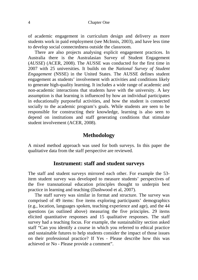of academic engagement in curriculum design and delivery as more students work in paid employment (see McInnis, 2003), and have less time to develop social connectedness outside the classroom.

There are also projects analysing explicit engagement practices. In Australia there is the Australasian Survey of Student Engagement (*AUSSE*) (ACER, 2008). The AUSSE was conducted for the first time in 2007 with 25 universities. It builds on the *National Survey of Student Engagement* (NSSE) in the United States. The AUSSE defines student engagement as students' involvement with activities and conditions likely to generate high-quality learning. It includes a wide range of academic and non-academic interactions that students have with the university. A key assumption is that learning is influenced by how an individual participates in educationally purposeful activities, and how the student is connected socially to the academic program's goals. While students are seen to be responsible for constructing their knowledge, learning is also seen to depend on institutions and staff generating conditions that stimulate student involvement (ACER, 2008).

#### **Methodology**

A mixed method approach was used for both surveys. In this paper the qualitative data from the staff perspective are reviewed.

#### **Instrument: staff and student surveys**

The staff and student surveys mirrored each other. For example the 53 item student survey was developed to measure students' perspectives of the five transnational education principles thought to underpin best practice in learning and teaching (Dashwood et al, 2007).

The staff survey was similar in format and structure. The survey was comprised of 49 items: five items exploring participants' demographics (e.g., location, languages spoken, teaching experience and age), and the 44 questions (as outlined above) measuring the five principles. 29 items elicited quantitative responses and 15 qualitative responses. The staff survey had a teaching focus. For example, the sustainability section asked staff "Can you identify a course in which you referred to ethical practice and sustainable futures to help students consider the impact of those issues on their professional practice? If Yes - Please describe how this was achieved or No - Please provide a comment".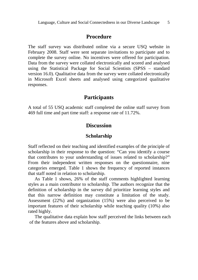#### **Procedure**

The staff survey was distributed online via a secure USQ website in February 2008. Staff were sent separate invitations to participate and to complete the survey online. No incentives were offered for participation. Data from the survey were collated electronically and scored and analysed using the Statistical Package for Social Scientists (SPSS – standard version 16.0). Qualitative data from the survey were collated electronically in Microsoft Excel sheets and analysed using categorized qualitative responses.

#### **Participants**

A total of 55 USQ academic staff completed the online staff survey from 469 full time and part time staff: a response rate of 11.72%.

#### **Discussion**

#### **Scholarship**

Staff reflected on their teaching and identified examples of the principle of scholarship in their response to the question: "Can you identify a course that contributes to your understanding of issues related to scholarship?" From their independent written responses on the questionnaire, nine categories emerged. Table 1 shows the frequency of reported instances that staff noted in relation to scholarship.

As Table 1 shows, 26% of the staff comments highlighted learning styles as a main contributor to scholarship. The authors recognize that the definition of scholarship in the survey did prioritize learning styles and that this narrow definition may constitute a limitation of the study. Assessment (22%) and organization (15%) were also perceived to be important features of their scholarship while teaching quality (10%) also rated highly.

The qualitative data explain how staff perceived the links between each of the features above and scholarship.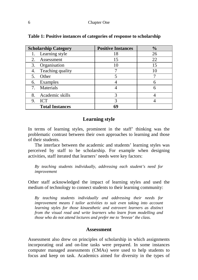| <b>Scholarship Category</b> | <b>Positive Instances</b> | $\frac{0}{0}$ |
|-----------------------------|---------------------------|---------------|
| Learning style              | 18                        | 26            |
| 2.<br>Assessment            | 15                        | 22            |
| Organisation<br>3.          | 10                        | 15            |
| Teaching quality            |                           | 10            |
| Other<br>5.                 |                           |               |
| Examples<br>6.              |                           | 6             |
| Materials                   |                           | 6             |
| Academic skills<br>8.       | 3                         |               |
| <b>ICT</b><br>9.            | 3                         |               |
| <b>Total Instances</b>      | 69                        |               |

**Table 1: Positive instances of categories of response to scholarship** 

#### **Learning style**

In terms of learning styles, prominent in the staff' thinking was the problematic contrast between their own approaches to learning and those of their students.

The interface between the academic and students' learning styles was perceived by staff to be scholarship. For example when designing activities, staff iterated that learners' needs were key factors:

*By teaching students individually, addressing each student's need for improvement* 

Other staff acknowledged the impact of learning styles and used the medium of technology to connect students to their learning community:

*By teaching students individually and addressing their needs for improvement means I tailor activities to suit even taking into account learning styles for those kinaesthetic and extrovert learners as distinct from the visual read and write learners who learn from modelling and those who do not attend lectures and prefer me to 'breeze' the class.* 

#### **Assessment**

Assessment also drew on principles of scholarship in which assignments incorporating oral and on-line tasks were prepared. In some instances computer managed assessments (CMAs) were used to help students to focus and keep on task. Academics aimed for diversity in the types of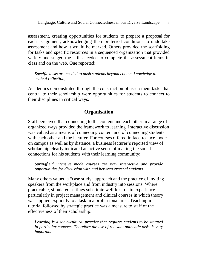assessment, creating opportunities for students to prepare a proposal for each assignment, acknowledging their preferred conditions to undertake assessment and how it would be marked. Others provided the scaffolding for tasks and specific resources in a sequenced organization that provided variety and staged the skills needed to complete the assessment items in class and on the web. One reported:

*Specific tasks are needed to push students beyond content knowledge to critical reflection;* 

Academics demonstrated through the construction of assessment tasks that central to their scholarship were opportunities for students to connect to their disciplines in critical ways.

#### **Organisation**

Staff perceived that connecting to the content and each other in a range of organized ways provided the framework to learning. Interactive discussion was valued as a means of connecting content and of connecting students with each other and the lecturer. For courses offered in face-to-face mode on campus as well as by distance, a business lecturer's reported view of scholarship clearly indicated an active sense of making the social connections for his students with their learning community:

*Springfield intensive mode courses are very interactive and provide opportunities for discussion with and between external students.* 

Many others valued a "case study" approach and the practice of inviting speakers from the workplace and from industry into sessions. Where practicable, simulated settings substitute well for in-situ experience particularly in project management and clinical courses in which theory was applied explicitly to a task in a professional area. Teaching in a tutorial followed by strategic practice was a measure to staff of the effectiveness of their scholarship:

*Learning is a socio-cultural practice that requires students to be situated in particular contexts. Therefore the use of relevant authentic tasks is very important.*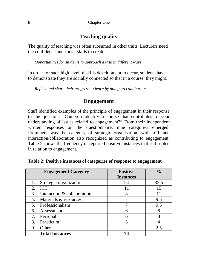#### **Teaching quality**

The quality of teaching was often subsumed in other traits. Lecturers need the confidence and social skills to create:

*Opportunities for students to approach a task in different ways,* 

In order for such high level of skills development to occur, students have to demonstrate they are socially connected so that in a course, they might:

*Reflect and share their progress to learn by doing, to collaborate.* 

#### **Engagement**

Staff identified examples of the principle of engagement in their response to the question: "Can you identify a course that contributes to your understanding of issues related to engagement?" From their independent written responses on the questionnaire, nine categories emerged. Prominent was the category of strategic organisation, with ICT and interaction/collaboration also recognized as contributing to engagement. Table 2 shows the frequency of reported positive instances that staff noted in relation to engagement.

| <b>Engagement Category</b>        | <b>Positive</b>  | $\frac{0}{0}$ |
|-----------------------------------|------------------|---------------|
|                                   | <b>Instances</b> |               |
| Strategic organization            | 24               | 32.5          |
| <b>ICT</b><br>2.                  | 11               | 15            |
| Interaction & collaboration<br>3. | 8                | 11            |
| Materials & resources             |                  | 9.5           |
| Professionalism<br>5.             |                  | 9.5           |
| Assessment<br>6.                  | 6                | 8             |
| Personal                          | 6                | 8             |
| Practicum<br>8.                   | 3                |               |
| Other<br>9.                       | $\mathfrak{D}$   | 2.5           |
| <b>Total Instances</b>            | 74               |               |

| Table 2: Positive instances of categories of response to engagement |  |  |  |  |
|---------------------------------------------------------------------|--|--|--|--|
|---------------------------------------------------------------------|--|--|--|--|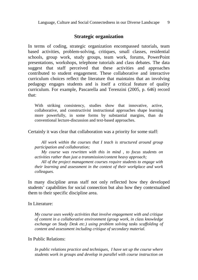#### **Strategic organization**

In terms of coding, strategic organization encompassed tutorials, team based activities, problem-solving, critiques, small classes, residential schools, group work, study groups, team work, forums, PowerPoint presentations, workshops, telephone tutorials and class debates. The data suggest that staff perceived that these activities and approaches contributed to student engagement. These collaborative and interactive curriculum choices reflect the literature that maintains that an involving pedagogy engages students and is itself a critical feature of quality curriculum. For example, Pascarella and Terenzini (2005, p. 646) record that:

With striking consistency, studies show that innovative, active, collaborative, and constructivist instructional approaches shape learning more powerfully, in some forms by substantial margins, than do conventional lecture-discussion and text-based approaches.

Certainly it was clear that collaboration was a priority for some staff:

*All work within the courses that I teach is structured around group participation and collaboration;* 

*My course was rewritten with this in mind , to focus students on activities rather than just a transmission/content heavy approach;* 

*All of the project management courses require students to engage with their learning and assessment in the context of their workplace and work colleagues.*

In many discipline areas staff not only reflected how they developed students' capabilities for social connection but also how they contextualised them to their specific discipline area.

In Literature:

*My course uses weekly activities that involve engagement with and critique of content in a collaborative environment (group work, in class knowledge exchange on Study Desk etc.) using problem solving tasks scaffolding of content and assessment including critique of secondary material.* 

In Public Relations:

*In public relations practice and techniques, I have set up the course where students work in groups and develop in parallel with course instruction on*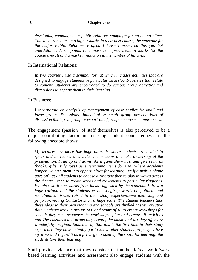*developing campaigns - a public relations campaign for an actual client. This then translates into higher marks in their next course, the capstone for the major Public Relations Project. I haven't measured this yet, but anecdotal evidence points to a massive improvement in marks for the course overall and a marked reduction in the number of failures.* 

#### In International Relations:

*In two courses I use a seminar format which includes activities that are designed to engage students in particular issues/controversies that relate to content…students are encouraged to do various group activities and discussions to engage them in their learning.* 

In Business:

*I incorporate an analysis of management of case studies by small and large group discussions, individual & small group presentations of discussion findings to group; comparison of group management approaches.* 

The engagement (passion) of staff themselves is also perceived to be a major contributing factor in fostering student connectedness as the following anecdote shows:

*My lectures are more like huge tutorials where students are invited to speak and be recorded, debate, act in teams and take ownership of the presentation. I run up and down like a game show host and give rewards (books, gifts, silly toys) as entertaining items for use. Where accidents happen we turn them into opportunities for learning...eg if a mobile phone goes off I ask all students to choose a ringtone then to play in waves across the theatre, then to create words and movements to particular ringtones. We also work backwards from ideas suggested by the students. I draw a huge cartoon and the students create song/rap words on political and social/ethical issues raised in their study experience-we then sing and perform-creating Cantastoria on a huge scale. The student teachers take these ideas to their own teaching and schools are thrilled at their creative flair. Students work in groups of 6 and teams of 18 to create workshops for schools-they must sequence the workshops- plan and create all activities and The costumes and props they create, the music and art they offer are wonderfully original. Students say that this is the first time in their study experience they have actually got to know other students properly! I love my work and regard it as a privilege to open up the space for learning: the students love their learning.* 

Staff provide evidence that they consider that authentic/real world/work based learning activities and assessment also engage students with the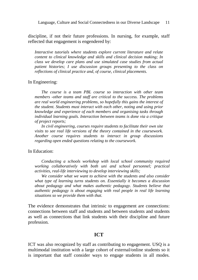discipline, if not their future professions. In nursing, for example, staff reflected that engagement is engendered by:

*Interactive tutorials where students explore current literature and relate content to clinical knowledge and skills and clinical decision making; In class we develop care plans and use simulated case studies from actual patient histories; I use discussion groups presenting to the class on reflections of clinical practice and, of course, clinical placements.* 

#### In Engineering:

*The course is a team PBL course so interaction with other team members -other teams and staff are critical to the success. The problems are real world engineering problems, so hopefully this gains the interest of the student. Students must interact with each other, noting and using prior knowledge and experience of each members and organising tasks through individual learning goals. Interaction between teams is done via a critique of project reports;* 

*In civil engineering, courses require students to facilitate their own site visits to see real life versions of the theory contained in the coursework. Another course requires students to interact in group discussions regarding open ended questions relating to the coursework.*

#### In Education:

*Conducting a schools workshop with local school community required working collaboratively with both uni and school personnel; practical activities, real-life interviewing to develop interviewing skills;* 

*We consider what we want to achieve with the students and also consider what type of learning turns students on. Essentially it becomes a discussion about pedagogy and what makes authentic pedagogy. Students believe that authentic pedagogy is about engaging with real people in real life learning situations so we provide them with that.* 

The evidence demonstrates that intrinsic to engagement are connections: connections between staff and students and between students and students as well as connections that link students with their discipline and future profession.

#### **ICT**

ICT was also recognized by staff as contributing to engagement. USQ is a multimodal institution with a large cohort of external/online students so it is important that staff consider ways to engage students in all modes.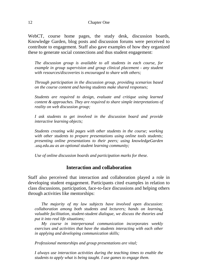WebCT, course home pages, the study desk, discussion boards, Knowledge Garden, blog posts and discussion forums were perceived to contribute to engagement. Staff also gave examples of how they organized these to generate social connections and thus student engagement:

*The discussion group is available to all students in each course, for example in group supervision and group clinical placement - any student with resources/discoveries is encouraged to share with others;* 

*Through participation in the discussion group, providing scenarios based on the course content and having students make shared responses;* 

*Students are required to design, evaluate and critique using learned content & approaches. They are required to share simple interpretations of reality on web discussion group;* 

*I ask students to get involved in the discussion board and provide interactive learning objects;* 

*Students creating wiki pages with other students in the course; working with other students to prepare presentations using online tools students; presenting online presentations to their peers; using knowledgeGarden .usq.edu.au as an optional student learning community;* 

*Use of online discussion boards and participation marks for these.*

#### **Interaction and collaboration**

Staff also perceived that interaction and collaboration played a role in developing student engagement. Participants cited examples in relation to class discussions, participation, face-to-face discussions and helping others through activities like mentorships:

*The majority of my law subjects have involved open discussion: collaboration among both students and lecturers; hands on learning, valuable facilitation, student-student dialogue, we discuss the theories and put it into real life situations;* 

*My course in interpersonal communication incorporates weekly exercises and activities that have the students interacting with each other in applying and developing communication skills;* 

*Professional mentorships and group presentations are vital;* 

*I always use interaction activities during the teaching times to enable the students to apply what is being taught. I use games to engage them.*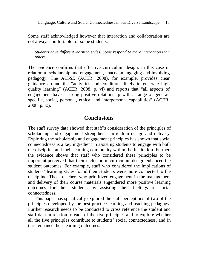Language, Culture and Social Connectedness in our Diverse Landscape 13

Some staff acknowledged however that interaction and collaboration are not always comfortable for some students:

*Students have different learning styles. Some respond to more interaction than others.* 

The evidence confirms that effective curriculum design, in this case in relation to scholarship and engagement, enacts an engaging and involving pedagogy. The *AUSSE* (ACER, 2008), for example, provides clear guidance around the "activities and conditions likely to generate high quality learning" (ACER, 2008, p. vi) and reports that "all aspects of engagement have a strong positive relationship with a range of general, specific, social, personal, ethical and interpersonal capabilities" (ACER, 2008, p. ix).

#### **Conclusions**

The staff survey data showed that staff's consideration of the principles of scholarship and engagement strengthens curriculum design and delivery. Exploring the scholarship and engagement principles has shown that social connectedness is a key ingredient in assisting students to engage with both the discipline and their learning community within the institution. Further, the evidence shows that staff who considered these principles to be important perceived that their inclusion in curriculum design enhanced the student outcomes. For example, staff who considered the implications of students' learning styles found their students were more connected to the discipline. Those teachers who prioritized engagement in the management and delivery of their course materials engendered more positive learning outcomes for their students by assisting their feelings of social connectedness.

This paper has specifically explored the staff perceptions of two of the principles developed by the best practice learning and teaching pedagogy. Further research needs to be conducted to cross reference the student and staff data in relation to each of the five principles and to explore whether all the five principles contribute to students' social connectedness, and in turn, enhance their learning outcomes.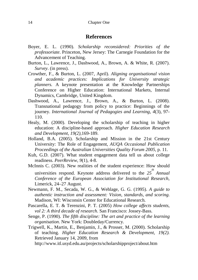#### **References**

- Boyer, E. L. (1990). *Scholarship reconsidered: Priorities of the professoriate*. Princeton, New Jersey: The Carnegie Foundation for the Advancement of Teaching.
- Burton, L., Lawrence, J., Dashwood, A., Brown, A. & White, R. (2007). *Survey*. (in press).
- Crowther, F., & Burton, L. (2007, April). *Aligning organisational vision and academic practices: Implications for University strategic planners.* A keynote presentation at the Knowledge Partnerships Conference on Higher Education: International Markets, Internal Dynamics, Cambridge, United Kingdom.
- Dashwood, A., Lawrence, J., Brown, A., & Burton, L. (2008). Transnational pedagogy from policy to practice: Beginnings of the journey. *International Journal of Pedagogies and Learning, 4*(3), 97- 110.
- Healy, M. (2000). Developing the scholarship of teaching in higher education: A discipline-based approach. *Higher Education Research and Development, 19(2),*169-189.
- Holland, B.A. (2005). Scholarship and Mission in the 21st Century University: The Role of Engagement, *AUQA Occasional Publication Proceedings of the Australian Universities Quality Forum 2005*, p. 11.
- Kuh, G.D. (2007). What student engagement data tell us about college readiness. *PeerReview*, *9*(1), 4-8.
- McInnis C. (2003). New realities of the student experience: How should universities respond. Keynote address delivered to the  $25^{th}$  *Annual Conference of the European Association for Institutional Research*, Limerick, 24–27 August.
- Newmann, F. M., Secada, W. G., & Wehlage, G. G. (1995). *A guide to authentic instruction and assessment: Vision, standards, and scoring.* Madison, WI: Wisconsin Center for Educational Research.
- Pascarella, E. T. & Terenzini, P. T. (2005) *How college affects students, vol 2: A third decade of research*. San Francisco: Jossey-Bass.
- Senge, P. (1990). *The fifth discipline: The art and practice of the learning organisation*. New York: Doubleday/Currency.
- Trigwell, K., Martin, E., Benjamin, J., & Prosser, M. (2000). Scholarship of teaching. *Higher Education Research & Development, 19(2).*  Retrieved January 14, 2009, from

http://www.itl.usyd.edu.au/projects/scholarshipproject/about.htm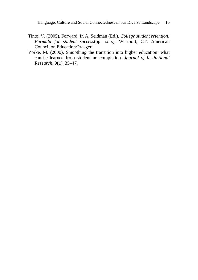Language, Culture and Social Connectedness in our Diverse Landscape 15

- Tinto, V. (2005). Forward. In A. Seidman (Ed.), *College student retention: Formula for student success*(pp. ix–x). Westport, CT: American Council on Education/Praeger.
- Yorke, M. (2000). Smoothing the transition into higher education: what can be learned from student noncompletion. *Journal of Institutional Research,* 9(1), 35–47.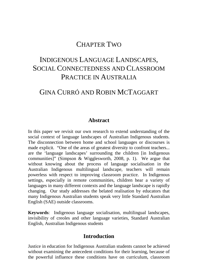### CHAPTER TWO

# INDIGENOUS LANGUAGE LANDSCAPES, SOCIAL CONNECTEDNESS AND CLASSROOM PRACTICE IN AUSTRALIA

# GINA CURRÓ AND ROBIN MCTAGGART

#### **Abstract**

In this paper we revisit our own research to extend understanding of the social context of language landscapes of Australian Indigenous students. The disconnection between home and school languages or discourses is made explicit. "One of the areas of greatest diversity to confront teachers... are the 'language landscapes' surrounding the children [in Indigenous communities]" (Simpson & Wigglesworth, 2008, p. 1). We argue that without knowing about the process of language socialisation in the Australian Indigenous multilingual landscape, teachers will remain powerless with respect to improving classroom practice. In Indigenous settings, especially in remote communities, children hear a variety of languages in many different contexts and the language landscape is rapidly changing. Our study addresses the belated realisation by educators that many Indigenous Australian students speak very little Standard Australian English (SAE) outside classrooms.

**Keywords**: Indigenous language socialisation, multilingual landscapes, invisibility of creoles and other language varieties, Standard Australian English, Australian Indigenous students

#### **Introduction**

Justice in education for Indigenous Australian students cannot be achieved without examining the antecedent conditions for their learning, because of the powerful influence these conditions have on curriculum, classroom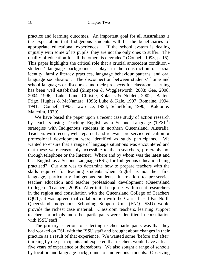practice and learning outcomes. An important goal for all Australians is the expectation that Indigenous students will be the beneficiaries of appropriate educational experiences. "If the school system is dealing unjustly with some of its pupils, they are not the only ones to suffer. The quality of education for all the others is degraded" (Connell, 1993, p. 15). This paper highlights the critical role that a crucial antecedent condition students' language backgrounds - plays in the construction of social identity, family literacy practices, language behaviour patterns, and oral language socialisation. The disconnection between students' home and school languages or discourses and their prospects for classroom learning has been well established (Simpson & Wigglesworth, 2008; Gee, 2008, 2004, 1996; Luke, Land, Christie, Kolatsis & Noblett, 2002; Batten, Frigo, Hughes & McNamara, 1998; Luke & Kale, 1997; Romaine, 1994, 1991; Connell, 1993; Lawrence, 1994; Schieffelin, 1990; Kaldor & Malcolm, 1979).

We have based the paper upon a recent case study of action research by teachers using Teaching English as a Second Language (TESL<sup>1</sup>) strategies with Indigenous students in northern Queensland, Australia. Teachers with recent, well-regarded and relevant pre-service education or professional development were identified as study participants. We wanted to ensure that a range of language situations was encountered and that these were reasonably accessible to the researchers, preferably not through telephone or the Internet. Where and by whom was the latest and best English as a Second Language (ESL) for Indigenous education being practised? Our aim was to determine how to prepare teachers with the skills required for teaching students when English is not their first language, particularly Indigenous students, in relation to pre-service teacher education and teacher professional development (Queensland College of Teachers, 2009). After initial enquiries with recent researchers in the region and consultation with the Queensland College of Teachers (QCT), it was agreed that collaboration with the Cairns based Far North Queensland Indigenous Schooling Support Unit (FNQ ISSU) would provide the richest case material. Classroom teachers, learning support teachers, principals and other participants were identified in consultation with ISSU staff. $2$ 

The primary criterion for selecting teacher participants was that they had worked on ESL with the ISSU staff and brought about changes in their practice as a result of that experience. We wanted some 'before and after' thinking by the participants and expected that teachers would have at least five years of experience or thereabouts. We also sought a range of schools by location and language backgrounds of Indigenous students. Observing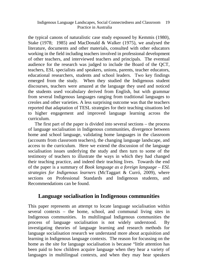the typical canons of naturalistic case study espoused by Kemmis (1980), Stake (1978; 1985) and MacDonald & Walker (1975), we analysed the literature, documents and other materials, consulted with other educators working in the field including teachers involved in professional development of other teachers, and interviewed teachers and principals. The eventual audience for the research was judged to include the Board of the QCT, teachers, ESL specialists and speakers, unions, parents, teacher educators, educational researchers, students and school leaders. Two key findings emerged from the study. When they studied the Indigenous student discourses, teachers were amazed at the language they used and noticed the students used vocabulary derived from English, but with grammar from several Indigenous languages ranging from traditional languages to creoles and other varieties. A less surprising outcome was that the teachers reported that adaptation of TESL strategies for their teaching situations led to higher engagement and improved language learning across the curriculum.

The first part of the paper is divided into several sections – the process of language socialisation in Indigenous communities, divergence between home and school language, validating home languages in the classroom (accounts from classroom teachers), the changing language landscape, and access to the curriculum. Here we extend the discussion of the language socialisation issues underlying the study and then turn to some of the testimony of teachers to illustrate the ways in which they had changed their teaching practice, and indeed their teaching lives. Towards the end of the paper is a summary of *Book language as a foreign language* – *ESL strategies for Indigenous learners* (McTaggart & Curró, 2009), where sections on Professional Standards and Indigenous students, and Recommendations can be found.

#### **Language socialisation in Indigenous communities**

This paper represents an attempt to locate language socialisation within several contexts – the home, school, and communal living sites in Indigenous communities. In multilingual Indigenous communities the process of language socialisation is not widely understood. By investigating theories of language learning and research methods for language socialisation research we understand more about acquisition and learning in Indigenous language contexts. The reason for focussing on the home as the site for language socialisation is because "little attention has been paid to how children acquire language when they hear a variety of languages in multilingual contexts, and when they may hear speakers